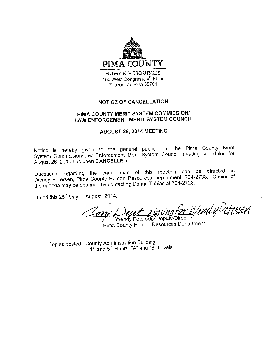

**HUMAN RESOURCES** 150 West Congress, 4th Floor Tucson, Arizona 85701

## **NOTICE OF CANCELLATION**

# PIMA COUNTY MERIT SYSTEM COMMISSION/ **LAW ENFORCEMENT MERIT SYSTEM COUNCIL**

### AUGUST 26, 2014 MEETING

Notice is hereby given to the general public that the Pima County Merit System Commission/Law Enforcement Merit System Council meeting scheduled for August 26, 2014 has been CANCELLED.

Questions regarding the cancellation of this meeting can be directed to Wendy Petersen, Pima County Human Resources Department, 724-2733. Copies of the agenda may be obtained by contacting Donna Tobias at 724-2728.

Dated this 25<sup>th</sup> Day of August, 2014.

VendyPetersen Wendy Petersen/Deputy/Director

Pima County Human Resources Department

Copies posted: County Administration Building 1<sup>st</sup> and 5<sup>th</sup> Floors, "A" and "B" Levels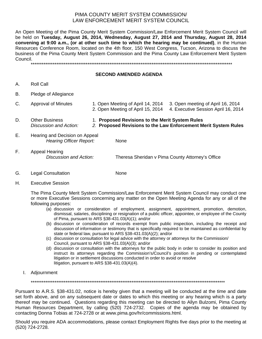### PIMA COUNTY MERIT SYSTEM COMMISSION/ LAW ENFORCEMENT MERIT SYSTEM COUNCIL

An Open Meeting of the Pima County Merit System Commission/Law Enforcement Merit System Council will be held on **Tuesday, August 26, 2014, Wednesday, August 27, 2014 and Thursday, August 28, 2014 convening at 9:00 a.m., (or at other such time to which the hearing may be continued)**, in the Human Resources Conference Room, located on the 4th floor, 150 West Congress, Tucson, Arizona to discuss the business of the Pima County Merit System Commission and the Pima County Law Enforcement Merit System Council.

\*\*\*\*\*\*\*\*\*\*\*\*\*\*\*\*\*\*\*\*\*\*\*\*\*\*\*\*\*\*\*\*\*\*\*\*\*\*\*\*\*\*\*\*\*\*\*\*\*\*\*\*\*\*\*\*\*\*\*\*\*\*\*\*\*\*\*\*\*\*\*\*\*\*\*\*\*\*\*\*\*\*\*\*\*\*\*\*\*\*\*\*\*\*\*\*\*\*\*\*\*\*\*\*\*\*\*\*\*\*

#### **SECOND AMENDED AGENDA**

- A. Roll Call
- B. Pledge of Allegiance
- C. Approval of Minutes 1. Open Meeting of April 14, 2014 3. Open meeting of April 16, 2014 2. Open Meeting of April 15, 2014 4. Executive Session April 16, 2014 D. Other Business 1. **Proposed Revisions to the Merit System Rules** *Discussion and Action: 2.* **Proposed Revisions to the Law Enforcement Merit System Rules**
- E. Hearing and Decision on Appeal *Hearing Officer Report:* None
- F. Appeal Hearing *Discussion and Action:* Theresa Sheridan v Pima County Attorney's Office

- G. Legal Consultation None
- H. Executive Session

The Pima County Merit System Commission/Law Enforcement Merit System Council may conduct one or more Executive Sessions concerning any matter on the Open Meeting Agenda for any or all of the following purposes:

- (a) discussion or consideration of employment, assignment, appointment, promotion, demotion, dismissal, salaries, disciplining or resignation of a public officer, appointee, or employee of the County of Pima, pursuant to ARS §38-431.03(A)(1); and/or
- (b) discussion or consideration of records exempt from public inspection, including the receipt and discussion of information or testimony that is specifically required to be maintained as confidential by state or federal law, pursuant to ARS §38-431.03(A)(2); and/or
- (c) discussion or consultation for legal advice with the attorney or attorneys for the Commission/ Council, pursuant to ARS §38-431.03(A)(3); and/or
- (d) discussion or consultation with the attorneys for the public body in order to consider its position and instruct its attorneys regarding the Commission's/Council's position in pending or contemplated litigation or in settlement discussions conducted in order to avoid or resolve litigation, pursuant to ARS §38-431.03(A)(4).
- I. Adjournment

\*\*\*\*\*\*\*\*\*\*\*\*\*\*\*\*\*\*\*\*\*\*\*\*\*\*\*\*\*\*\*\*\*\*\*\*\*\*\*\*\*\*\*\*\*\*\*\*\*\*\*\*\*\*\*\*\*\*\*\*\*\*\*\*\*\*\*\*\*\*\*\*\*\*\*\*\*\*\*\*\*\*\*\*\*\*\*\*\*\*\*\*\*\*\*\*\*\*\*\*\*\*\*\*\*\*

Pursuant to A.R.S. §38-431.02, notice is hereby given that a meeting will be conducted at the time and date set forth above, and on any subsequent date or dates to which this meeting or any hearing which is a party thereof may be continued. Questions regarding this meeting can be directed to Allyn Bulzomi, Pima County Human Resources Department, by calling (520) 724-2732. Copies of the agenda may be obtained by contacting Donna Tobias at 724-2728 or at www.pima.gov/hr/commissions.html.

Should you require ADA accommodations, please contact Employment Rights five days prior to the meeting at (520) 724-2728.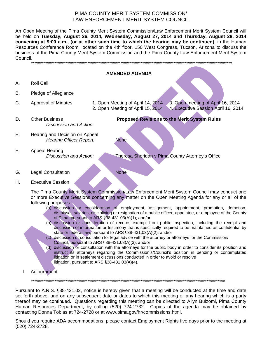## PIMA COUNTY MERIT SYSTEM COMMISSION/ LAW ENFORCEMENT MERIT SYSTEM COUNCIL

An Open Meeting of the Pima County Merit System Commission/Law Enforcement Merit System Council will be held on **Tuesday, August 26, 2014, Wednesday, August 27, 2014 and Thursday, August 28, 2014 convening at 9:00 a.m., (or at other such time to which the hearing may be continued)**, in the Human Resources Conference Room, located on the 4th floor, 150 West Congress, Tucson, Arizona to discuss the business of the Pima County Merit System Commission and the Pima County Law Enforcement Merit System Council.



G. Legal Consultation None

H. Executive Session

The Pima County Merit System Commission/Law Enforcement Merit System Council may conduct one or more Executive Sessions concerning any matter on the Open Meeting Agenda for any or all of the following purposes:

- (a) discussion or consideration of employment, assignment, appointment, promotion, demotion, dismissal, salaries, disciplining or resignation of a public officer, appointee, or employee of the County of Pima, pursuant to ARS §38-431.03(A)(1); and/or
- (b) discussion or consideration of records exempt from public inspection, including the receipt and discussion of information or testimony that is specifically required to be maintained as confidential by state or federal law, pursuant to ARS §38-431.03(A)(2); and/or
- (c) discussion or consultation for legal advice with the attorney or attorneys for the Commission/ Council, pursuant to ARS §38-431.03(A)(3); and/or
- (d) discussion or consultation with the attorneys for the public body in order to consider its position and instruct its attorneys regarding the Commission's/Council's position in pending or contemplated litigation or in settlement discussions conducted in order to avoid or resolve litigation, pursuant to ARS §38-431.03(A)(4).
- I. Adjournment

\*\*\*\*\*\*\*\*\*\*\*\*\*\*\*\*\*\*\*\*\*\*\*\*\*\*\*\*\*\*\*\*\*\*\*\*\*\*\*\*\*\*\*\*\*\*\*\*\*\*\*\*\*\*\*\*\*\*\*\*\*\*\*\*\*\*\*\*\*\*\*\*\*\*\*\*\*\*\*\*\*\*\*\*\*\*\*\*\*\*\*\*\*\*\*\*\*\*\*\*\*\*\*\*\*\*

Pursuant to A.R.S. §38-431.02, notice is hereby given that a meeting will be conducted at the time and date set forth above, and on any subsequent date or dates to which this meeting or any hearing which is a party thereof may be continued. Questions regarding this meeting can be directed to Allyn Bulzomi, Pima County Human Resources Department, by calling (520) 724-2732. Copies of the agenda may be obtained by contacting Donna Tobias at 724-2728 or at www.pima.gov/hr/commissions.html.

Should you require ADA accommodations, please contact Employment Rights five days prior to the meeting at (520) 724-2728.